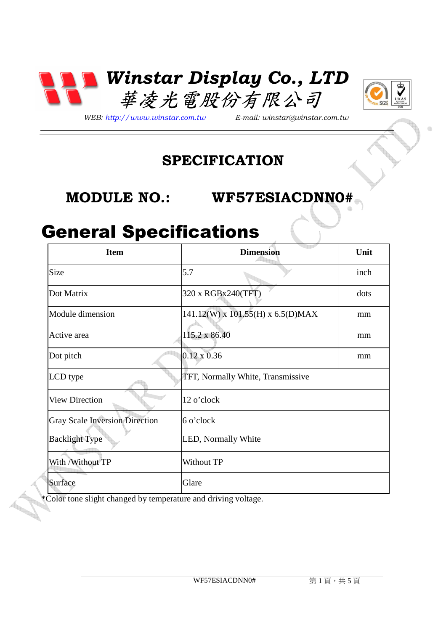



*WEB: http://www.winstar.com.tw E-mail: winstar@winstar.com.tw*

#### **SPECIFICATION**

#### **MODULE NO.: WF57ESIACDNN0#**

### General Specifications

| <b>Item</b>                           | <b>Dimension</b>                  | Unit |
|---------------------------------------|-----------------------------------|------|
| Size                                  | 5.7                               | inch |
| Dot Matrix                            | 320 x RGBx240(TFT)                | dots |
| Module dimension                      | 141.12(W) x 101.55(H) x 6.5(D)MAX | mm   |
| Active area                           | 115.2 x 86.40                     | mm   |
| Dot pitch                             | $0.12 \times 0.36$                | mm   |
| LCD type                              | TFT, Normally White, Transmissive |      |
| <b>View Direction</b>                 | 12 o'clock                        |      |
| <b>Gray Scale Inversion Direction</b> | 6 o'clock                         |      |
| <b>Backlight Type</b>                 | LED, Normally White               |      |
| With / Without TP                     | Without TP                        |      |
| Surface                               | Glare                             |      |

\*Color tone slight changed by temperature and driving voltage.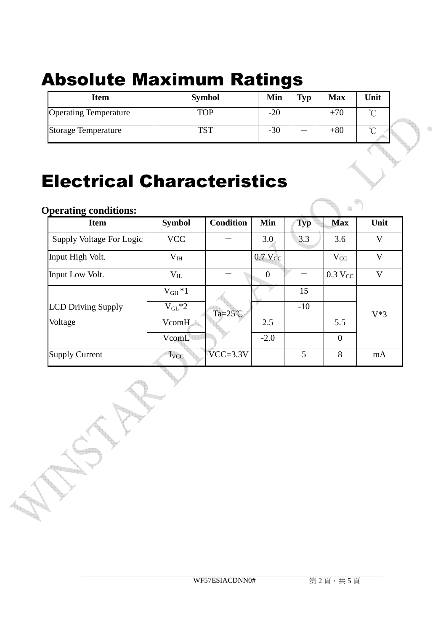# Absolute Maximum Ratings

| <b>Item</b>                  | <b>Symbol</b> | Min   | <b>Typ</b> | <b>Max</b> | Unit        |  |
|------------------------------|---------------|-------|------------|------------|-------------|--|
| <b>Operating Temperature</b> | TOP           | $-20$ |            | $+70$      | $\sim$<br>◡ |  |
| Storage Temperature          | TCT           | $-30$ | __         | $+80$      | $\sim$<br>◡ |  |

## Electrical Characteristics

| <b>Operating conditions:</b> |                 |                    |                |            |                       |       |
|------------------------------|-----------------|--------------------|----------------|------------|-----------------------|-------|
| <b>Item</b>                  | <b>Symbol</b>   | <b>Condition</b>   | Min            | <b>Typ</b> | <b>Max</b>            | Unit  |
| Supply Voltage For Logic     | <b>VCC</b>      |                    | 3.0            | 3.3        | 3.6                   | V     |
| Input High Volt.             | V <sub>IH</sub> |                    | $0.7$ $V_{CC}$ |            | $V_{CC}$              | V     |
| Input Low Volt.              | $V_{IL}$        |                    | $\theta$       |            | $0.3$ V <sub>CC</sub> | V     |
|                              | $V_{GH}*1$      |                    |                | 15         |                       |       |
| <b>LCD Driving Supply</b>    | $V_{GL}^*2$     | Ta= $25^{\circ}$ C |                | $-10$      |                       | $V*3$ |
| Voltage                      | VcomH           |                    | 2.5            |            | 5.5                   |       |
|                              | VcomL           |                    | $-2.0$         |            | $\overline{0}$        |       |
| <b>Supply Current</b>        | $I_{VCC}$       | $VCC = 3.3V$       |                | 5          | 8                     | mA    |

db.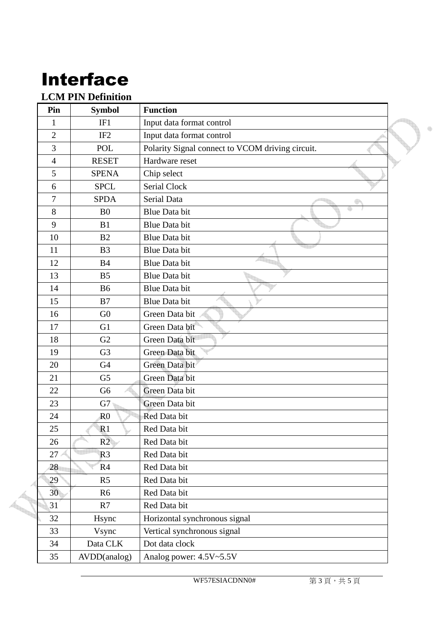# Interface

#### **LCM PIN Definition**

| Pin            | <b>Symbol</b>   | <b>Function</b>                                  |  |
|----------------|-----------------|--------------------------------------------------|--|
| $\mathbf{1}$   | IF1             | Input data format control                        |  |
| $\overline{2}$ | IF <sub>2</sub> | Input data format control                        |  |
| $\overline{3}$ | <b>POL</b>      | Polarity Signal connect to VCOM driving circuit. |  |
| $\overline{4}$ | <b>RESET</b>    | Hardware reset                                   |  |
| 5              | <b>SPENA</b>    | Chip select                                      |  |
| 6              | <b>SPCL</b>     | Serial Clock                                     |  |
| $\overline{7}$ | <b>SPDA</b>     | <b>Serial Data</b>                               |  |
| 8              | B <sub>0</sub>  | Blue Data bit                                    |  |
| 9              | B1              | <b>Blue Data bit</b>                             |  |
| 10             | B2              | <b>Blue Data bit</b>                             |  |
| 11             | B <sub>3</sub>  | Blue Data bit                                    |  |
| 12             | <b>B4</b>       | <b>Blue Data bit</b>                             |  |
| 13             | B <sub>5</sub>  | <b>Blue Data bit</b>                             |  |
| 14             | <b>B6</b>       | <b>Blue Data bit</b>                             |  |
| 15             | B7              | <b>Blue Data bit</b>                             |  |
| 16             | G <sub>0</sub>  | Green Data bit                                   |  |
| 17             | G <sub>1</sub>  | Green Data bit                                   |  |
| 18             | G2              | Green Data bit                                   |  |
| 19             | G <sub>3</sub>  | Green Data bit                                   |  |
| 20             | G4              | Green Data bit                                   |  |
| 21             | G <sub>5</sub>  | Green Data bit                                   |  |
| 22             | G <sub>6</sub>  | Green Data bit                                   |  |
| 23             | G7              | Green Data bit                                   |  |
| 24             | R <sub>0</sub>  | Red Data bit                                     |  |
| 25             | R1              | Red Data bit                                     |  |
| 26             | R2              | Red Data bit                                     |  |
| 27             | R <sub>3</sub>  | Red Data bit                                     |  |
| 28             | R4              | Red Data bit                                     |  |
| 29             | R <sub>5</sub>  | Red Data bit                                     |  |
| 30             | R <sub>6</sub>  | Red Data bit                                     |  |
| 31             | R7              | Red Data bit                                     |  |
| 32             | Hsync           | Horizontal synchronous signal                    |  |
| 33             | Vsync           | Vertical synchronous signal                      |  |
| 34             | Data CLK        | Dot data clock                                   |  |
| 35             | AVDD(analog)    | Analog power: 4.5V~5.5V                          |  |

WF57ESIACDNN0# 第3頁,共5頁

 $\oplus$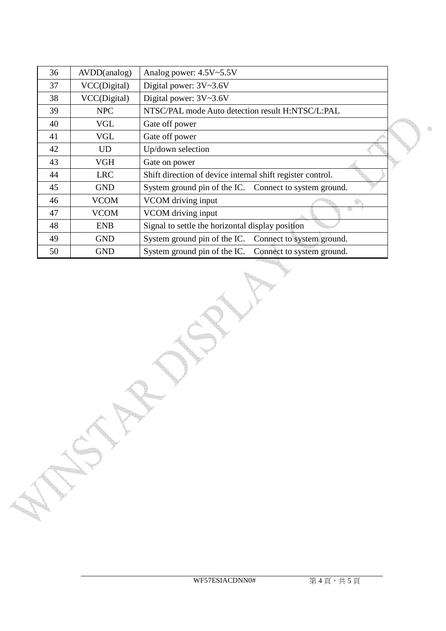| 36 | AVDD(analog) | Analog power: 4.5V~5.5V                                    |  |
|----|--------------|------------------------------------------------------------|--|
| 37 | VCC(Digital) | Digital power: 3V~3.6V                                     |  |
| 38 | VCC(Digital) | Digital power: 3V~3.6V                                     |  |
| 39 | <b>NPC</b>   | NTSC/PAL mode Auto detection result H:NTSC/L:PAL           |  |
| 40 | <b>VGL</b>   | Gate off power                                             |  |
| 41 | <b>VGL</b>   | Gate off power                                             |  |
| 42 | <b>UD</b>    | Up/down selection                                          |  |
| 43 | <b>VGH</b>   | Gate on power                                              |  |
| 44 | <b>LRC</b>   | Shift direction of device internal shift register control. |  |
| 45 | <b>GND</b>   | System ground pin of the IC. Connect to system ground.     |  |
| 46 | <b>VCOM</b>  | VCOM driving input                                         |  |
| 47 | <b>VCOM</b>  | VCOM driving input                                         |  |
| 48 | <b>ENB</b>   | Signal to settle the horizontal display position           |  |
| 49 | <b>GND</b>   | System ground pin of the IC.<br>Connect to system ground.  |  |
| 50 | <b>GND</b>   | System ground pin of the IC.<br>Connect to system ground.  |  |